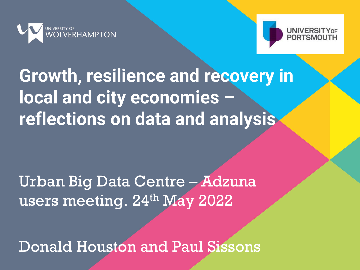



# **Growth, resilience and recovery in local and city economies – reflections on data and analysis**

### Urban Big Data Centre – Adzuna users meeting. 24<sup>th</sup> May 2022

Donald Houston and Paul Sissons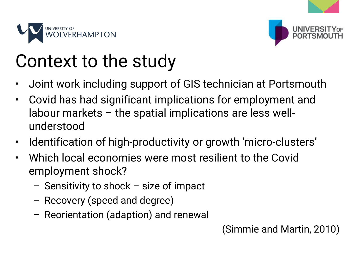



# Context to the study

- Joint work including support of GIS technician at Portsmouth
- Covid has had significant implications for employment and labour markets – the spatial implications are less wellunderstood
- Identification of high-productivity or growth 'micro-clusters'
- Which local economies were most resilient to the Covid employment shock?
	- Sensitivity to shock size of impact
	- Recovery (speed and degree)
	- Reorientation (adaption) and renewal

(Simmie and Martin, 2010)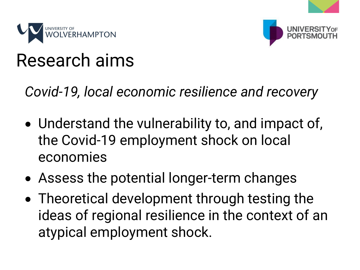



### Research aims

*Covid-19, local economic resilience and recovery*

- Understand the vulnerability to, and impact of, the Covid-19 employment shock on local economies
- Assess the potential longer-term changes
- Theoretical development through testing the ideas of regional resilience in the context of an atypical employment shock.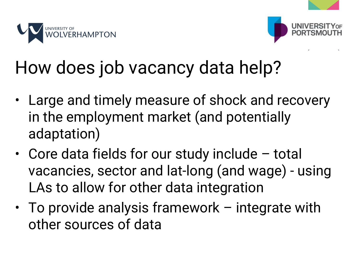



# How does job vacancy data help?

- Large and timely measure of shock and recovery in the employment market (and potentially adaptation)
- Core data fields for our study include total vacancies, sector and lat-long (and wage) - using LAs to allow for other data integration
- To provide analysis framework integrate with other sources of data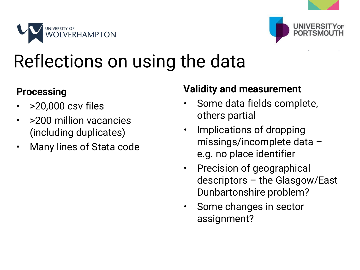



# Reflections on using the data

### **Processing**

- >20,000 csv files
- > > 200 million vacancies (including duplicates)
- Many lines of Stata code

### **Validity and measurement**

- Some data fields complete, others partial
- Implications of dropping missings/incomplete data – e.g. no place identifier
- Precision of geographical descriptors – the Glasgow/East Dunbartonshire problem?
- Some changes in sector assignment?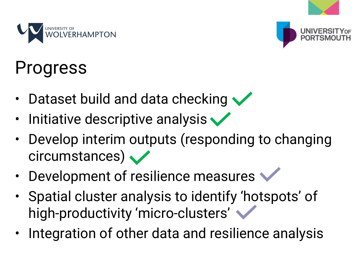

# Progress

- Dataset build and data checking  $\blacktriangledown$
- Initiative descriptive analysis

**HAMPTON** 

- Develop interim outputs (responding to changing circumstances)  $\sqrt{}$
- Development of resilience measures
- Spatial cluster analysis to identify 'hotspots' of high-productivity 'micro-clusters'
- Integration of other data and resilience analysis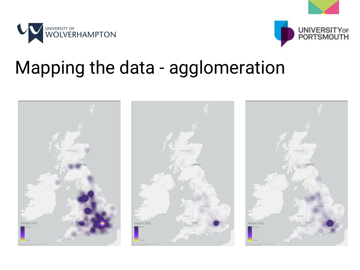



### Mapping the data - agglomeration

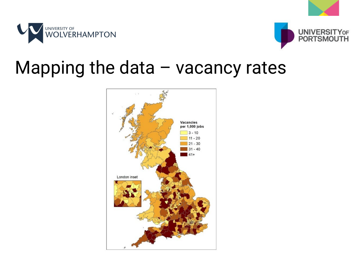



### Mapping the data – vacancy rates

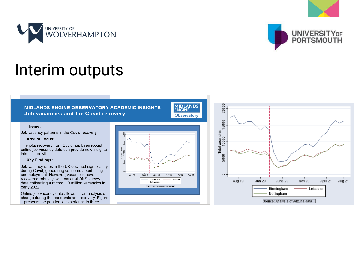



### Interim outputs

### **MIDLANDS ENGINE OBSERVATORY ACADEMIC INSIGHTS** Job vacancies and the Covid recovery

### Theme:

Job vacancy patterns in the Covid recovery

### **Area of Focus:**

The jobs recovery from Covid has been robust online job vacancy data can provide new insights into this growth.

### **Key Findings:**

Job vacancy rates in the UK declined significantly during Covid, generating concerns about rising unemployment. However, vacancies have recovered robustly, with national ONS survey data estimating a record 1.3 million vacancies in early 2022.

Online job vacancy data allows for an analysis of change during the pandemic and recovery. Figure 1 presents the pandemic experience in three



**MIDLANDS**<br>ENGINE

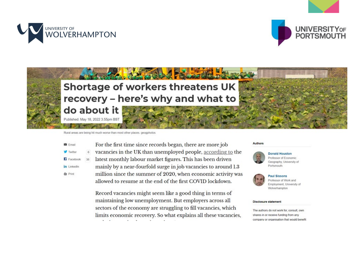





Rural areas are being hit much worse than most other places, geogphotos



For the first time since records began, there are more job vacancies in the UK than unemployed people, according to the latest monthly labour market figures. This has been driven 38 mainly by a near-fourfold surge in job vacancies to around 1.3 million since the summer of 2020, when economic activity was allowed to resume at the end of the first COVID lockdown.

Record vacancies might seem like a good thing in terms of maintaining low unemployment. But employers across all sectors of the economy are struggling to fill vacancies, which limits economic recovery. So what explains all these vacancies,

### Authors



**Donald Houston** Professor of Economic Geography, University of Portsmouth



**Paul Sissons** Professor of Work and Employment, University of Wolverhampton

### **Disclosure statement**

The authors do not work for, consult, own shares in or receive funding from any company or organisation that would benefit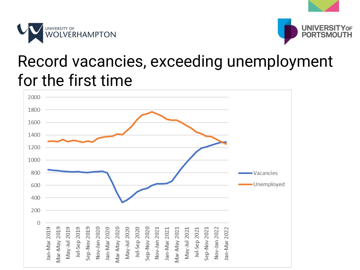



### Record vacancies, exceeding unemployment for the first time

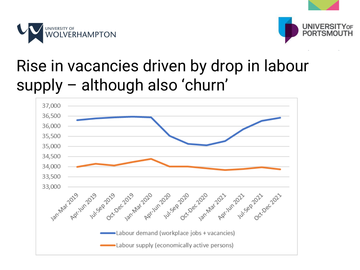



### Rise in vacancies driven by drop in labour supply – although also 'churn'

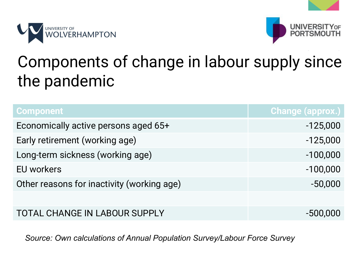



### Components of change in labour supply since the pandemic

| <b>Component</b>                           | <b>Change (approx.)</b> |
|--------------------------------------------|-------------------------|
| Economically active persons aged 65+       | $-125,000$              |
| Early retirement (working age)             | $-125,000$              |
| Long-term sickness (working age)           | $-100,000$              |
| EU workers                                 | $-100,000$              |
| Other reasons for inactivity (working age) | $-50,000$               |
|                                            |                         |
| <b>TOTAL CHANGE IN LABOUR SUPPLY</b>       | $-500,000$              |

*Source: Own calculations of Annual Population Survey/Labour Force Survey*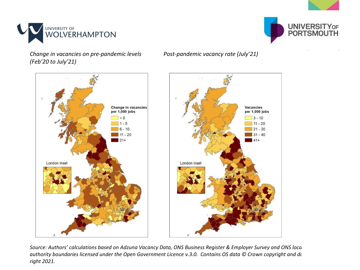



*Change in vacancies on pre-pandemic levels (Feb'20 to July'21)*

*Post-pandemic vacancy rate (July'21)*



*Source: Authors' calculations based on Adzuna Vacancy Data, ONS Business Register & Employer Survey and ONS loca authority boundaries licensed under the Open Government Licence v.3.0. Contains OS data © Crown copyright and da right 2021.*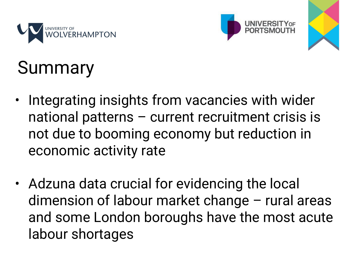





# Summary

- Integrating insights from vacancies with wider national patterns – current recruitment crisis is not due to booming economy but reduction in economic activity rate
- Adzuna data crucial for evidencing the local dimension of labour market change – rural areas and some London boroughs have the most acute labour shortages